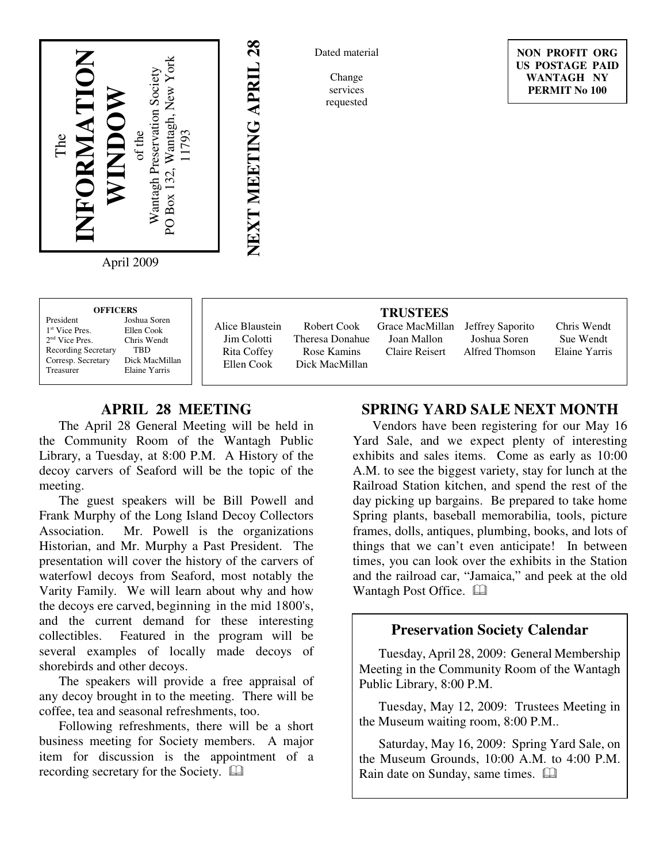

April 2009

| <b>OFFICERS</b>            |                |
|----------------------------|----------------|
| President                  | Joshua Soren   |
| <sup>1st</sup> Vice Pres   | Ellen Cook     |
| $2nd$ Vice Pres.           | Chris Wendt    |
| <b>Recording Secretary</b> | TRD            |
| Corresp. Secretary         | Dick MacMillan |
| Treasurer                  | Elaine Yarris  |
|                            |                |

Alice Blaustein Jim Colotti Rita Coffey Ellen Cook

**NEXT MEETING APRIL 28**

NEXT MEETING APRIL 28

Robert Cook Theresa Donahue Rose Kamins Dick MacMillan

**TRUSTEES** Joan Mallon Claire Reisert

Grace MacMillan Jeffrey Saporito Joshua Soren Alfred Thomson

Chris Wendt Sue Wendt Elaine Yarris

# **APRIL 28 MEETING**

The April 28 General Meeting will be held in the Community Room of the Wantagh Public Library, a Tuesday, at 8:00 P.M. A History of the decoy carvers of Seaford will be the topic of the meeting.

The guest speakers will be Bill Powell and Frank Murphy of the Long Island Decoy Collectors Association. Mr. Powell is the organizations Historian, and Mr. Murphy a Past President. The presentation will cover the history of the carvers of waterfowl decoys from Seaford, most notably the Varity Family. We will learn about why and how the decoys ere carved, beginning in the mid 1800's, and the current demand for these interesting collectibles. Featured in the program will be several examples of locally made decoys of shorebirds and other decoys.

The speakers will provide a free appraisal of any decoy brought in to the meeting. There will be coffee, tea and seasonal refreshments, too.

Following refreshments, there will be a short business meeting for Society members. A major item for discussion is the appointment of a recording secretary for the Society.

### **SPRING YARD SALE NEXT MONTH**

Vendors have been registering for our May 16 Yard Sale, and we expect plenty of interesting exhibits and sales items. Come as early as 10:00 A.M. to see the biggest variety, stay for lunch at the Railroad Station kitchen, and spend the rest of the day picking up bargains. Be prepared to take home Spring plants, baseball memorabilia, tools, picture frames, dolls, antiques, plumbing, books, and lots of things that we can't even anticipate! In between times, you can look over the exhibits in the Station and the railroad car, "Jamaica," and peek at the old Wantagh Post Office.  $\Box$ 

#### **Preservation Society Calendar**

Tuesday, April 28, 2009: General Membership Meeting in the Community Room of the Wantagh Public Library, 8:00 P.M.

Tuesday, May 12, 2009: Trustees Meeting in the Museum waiting room, 8:00 P.M..

Saturday, May 16, 2009: Spring Yard Sale, on the Museum Grounds, 10:00 A.M. to 4:00 P.M. Rain date on Sunday, same times.  $\Box$ 

Dated material

Change services requested

**NON PROFIT ORG US POSTAGE PAID WANTAGH NY PERMIT No 100**